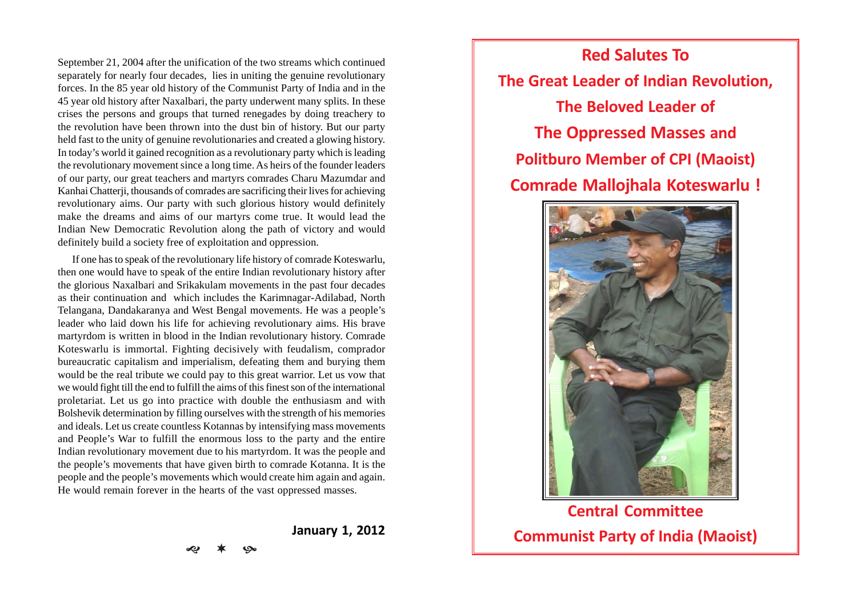September 21, 2004 after the unification of the two streams which continued separately for nearly four decades, lies in uniting the genuine revolutionary forces. In the 85 year old history of the Communist Party of India and in the 45 year old history after Naxalbari, the party underwent many splits. In these crises the persons and groups that turned renegades by doing treachery to the revolution have been thrown into the dust bin of history. But our party held fast to the unity of genuine revolutionaries and created a glowing history. In today's world it gained recognition as a revolutionary party which is leading the revolutionary movement since a long time. As heirs of the founder leaders of our party, our great teachers and martyrs comrades Charu Mazumdar and Kanhai Chatterji, thousands of comrades are sacrificing their lives for achieving revolutionary aims. Our party with such glorious history would definitely make the dreams and aims of our martyrs come true. It would lead the Indian New Democratic Revolution along the path of victory and would definitely build a society free of exploitation and oppression.

If one has to speak of the revolutionary life history of comrade Koteswarlu, then one would have to speak of the entire Indian revolutionary history after the glorious Naxalbari and Srikakulam movements in the past four decades as their continuation and which includes the Karimnagar-Adilabad, North Telangana, Dandakaranya and West Bengal movements. He was a people's leader who laid down his life for achieving revolutionary aims. His brave martyrdom is written in blood in the Indian revolutionary history. Comrade Koteswarlu is immortal. Fighting decisively with feudalism, comprador bureaucratic capitalism and imperialism, defeating them and burying them would be the real tribute we could pay to this great warrior. Let us vow that we would fight till the end to fulfill the aims of this finest son of the international proletariat. Let us go into practice with double the enthusiasm and with Bolshevik determination by filling ourselves with the strength of his memories and ideals. Let us create countless Kotannas by intensifying mass movements and People's War to fulfill the enormous loss to the party and the entire Indian revolutionary movement due to his martyrdom. It was the people and the people's movements that have given birth to comrade Kotanna. It is the people and the people's movements which would create him again and again. He would remain forever in the hearts of the vast oppressed masses.

**January 1, 2012**

**Red Salutes To The Great Leader of Indian Revolution, The Beloved Leader of The Oppressed Masses and Politburo Member of CPI (Maoist) Comrade Mallojhala Koteswarlu !**



**Central Committee Communist Party of India (Maoist)**

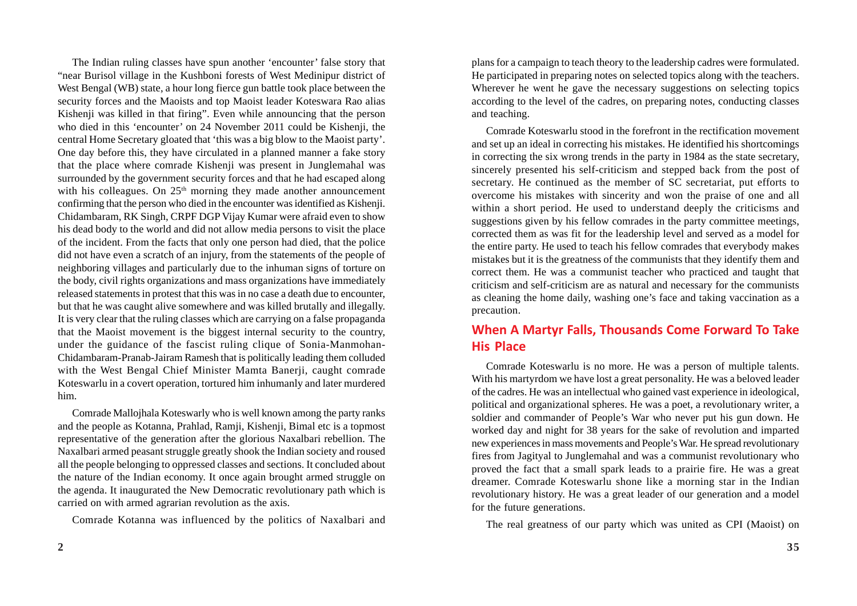The Indian ruling classes have spun another 'encounter' false story that "near Burisol village in the Kushboni forests of West Medinipur district of West Bengal (WB) state, a hour long fierce gun battle took place between the security forces and the Maoists and top Maoist leader Koteswara Rao alias Kishenji was killed in that firing". Even while announcing that the person who died in this 'encounter' on 24 November 2011 could be Kishenji, the central Home Secretary gloated that 'this was a big blow to the Maoist party'. One day before this, they have circulated in a planned manner a fake story that the place where comrade Kishenji was present in Junglemahal was surrounded by the government security forces and that he had escaped along with his colleagues. On  $25<sup>th</sup>$  morning they made another announcement confirming that the person who died in the encounter was identified as Kishenji. Chidambaram, RK Singh, CRPF DGP Vijay Kumar were afraid even to show his dead body to the world and did not allow media persons to visit the place of the incident. From the facts that only one person had died, that the police did not have even a scratch of an injury, from the statements of the people of neighboring villages and particularly due to the inhuman signs of torture on the body, civil rights organizations and mass organizations have immediately released statements in protest that this was in no case a death due to encounter, but that he was caught alive somewhere and was killed brutally and illegally. It is very clear that the ruling classes which are carrying on a false propaganda that the Maoist movement is the biggest internal security to the country, under the guidance of the fascist ruling clique of Sonia-Manmohan-Chidambaram-Pranab-Jairam Ramesh that is politically leading them colluded with the West Bengal Chief Minister Mamta Banerji, caught comrade Koteswarlu in a covert operation, tortured him inhumanly and later murdered him.

Comrade Mallojhala Koteswarly who is well known among the party ranks and the people as Kotanna, Prahlad, Ramji, Kishenji, Bimal etc is a topmost representative of the generation after the glorious Naxalbari rebellion. The Naxalbari armed peasant struggle greatly shook the Indian society and roused all the people belonging to oppressed classes and sections. It concluded about the nature of the Indian economy. It once again brought armed struggle on the agenda. It inaugurated the New Democratic revolutionary path which is carried on with armed agrarian revolution as the axis.

Comrade Kotanna was influenced by the politics of Naxalbari and

plans for a campaign to teach theory to the leadership cadres were formulated. He participated in preparing notes on selected topics along with the teachers. Wherever he went he gave the necessary suggestions on selecting topics according to the level of the cadres, on preparing notes, conducting classes and teaching.

Comrade Koteswarlu stood in the forefront in the rectification movement and set up an ideal in correcting his mistakes. He identified his shortcomings in correcting the six wrong trends in the party in 1984 as the state secretary, sincerely presented his self-criticism and stepped back from the post of secretary. He continued as the member of SC secretariat, put efforts to overcome his mistakes with sincerity and won the praise of one and all within a short period. He used to understand deeply the criticisms and suggestions given by his fellow comrades in the party committee meetings, corrected them as was fit for the leadership level and served as a model for the entire party. He used to teach his fellow comrades that everybody makes mistakes but it is the greatness of the communists that they identify them and correct them. He was a communist teacher who practiced and taught that criticism and self-criticism are as natural and necessary for the communists as cleaning the home daily, washing one's face and taking vaccination as a precaution.

## **When A Martyr Falls, Thousands Come Forward To Take His Place**

Comrade Koteswarlu is no more. He was a person of multiple talents. With his martyrdom we have lost a great personality. He was a beloved leader of the cadres. He was an intellectual who gained vast experience in ideological, political and organizational spheres. He was a poet, a revolutionary writer, a soldier and commander of People's War who never put his gun down. He worked day and night for 38 years for the sake of revolution and imparted new experiences in mass movements and People's War. He spread revolutionary fires from Jagityal to Junglemahal and was a communist revolutionary who proved the fact that a small spark leads to a prairie fire. He was a great dreamer. Comrade Koteswarlu shone like a morning star in the Indian revolutionary history. He was a great leader of our generation and a model for the future generations.

The real greatness of our party which was united as CPI (Maoist) on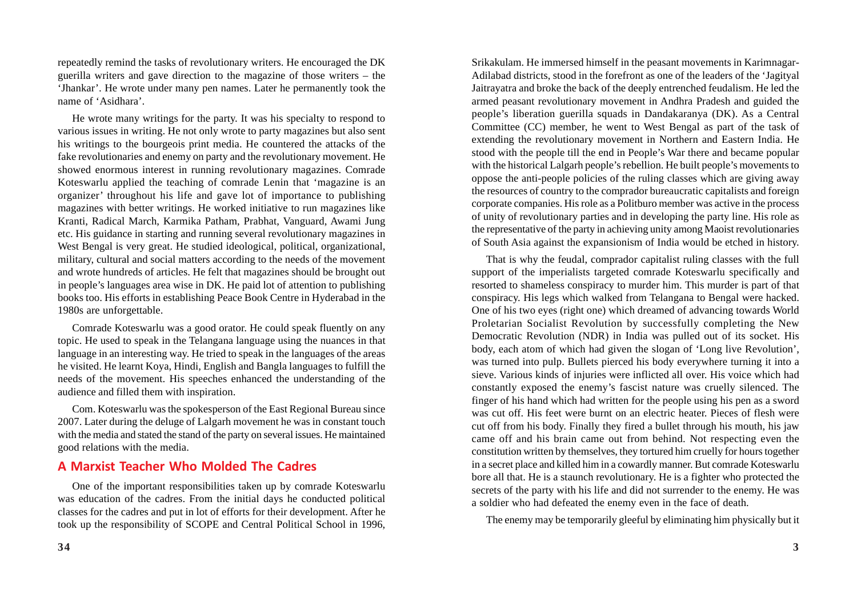repeatedly remind the tasks of revolutionary writers. He encouraged the DK guerilla writers and gave direction to the magazine of those writers – the 'Jhankar'. He wrote under many pen names. Later he permanently took the name of 'Asidhara'.

He wrote many writings for the party. It was his specialty to respond to various issues in writing. He not only wrote to party magazines but also sent his writings to the bourgeois print media. He countered the attacks of the fake revolutionaries and enemy on party and the revolutionary movement. He showed enormous interest in running revolutionary magazines. Comrade Koteswarlu applied the teaching of comrade Lenin that 'magazine is an organizer' throughout his life and gave lot of importance to publishing magazines with better writings. He worked initiative to run magazines like Kranti, Radical March, Karmika Patham, Prabhat, Vanguard, Awami Jung etc. His guidance in starting and running several revolutionary magazines in West Bengal is very great. He studied ideological, political, organizational, military, cultural and social matters according to the needs of the movement and wrote hundreds of articles. He felt that magazines should be brought out in people's languages area wise in DK. He paid lot of attention to publishing books too. His efforts in establishing Peace Book Centre in Hyderabad in the 1980s are unforgettable.

Comrade Koteswarlu was a good orator. He could speak fluently on any topic. He used to speak in the Telangana language using the nuances in that language in an interesting way. He tried to speak in the languages of the areas he visited. He learnt Koya, Hindi, English and Bangla languages to fulfill the needs of the movement. His speeches enhanced the understanding of the audience and filled them with inspiration.

Com. Koteswarlu was the spokesperson of the East Regional Bureau since 2007. Later during the deluge of Lalgarh movement he was in constant touch with the media and stated the stand of the party on several issues. He maintained good relations with the media.

#### **A Marxist Teacher Who Molded The Cadres**

One of the important responsibilities taken up by comrade Koteswarlu was education of the cadres. From the initial days he conducted political classes for the cadres and put in lot of efforts for their development. After he took up the responsibility of SCOPE and Central Political School in 1996,

Srikakulam. He immersed himself in the peasant movements in Karimnagar-Adilabad districts, stood in the forefront as one of the leaders of the 'Jagityal Jaitrayatra and broke the back of the deeply entrenched feudalism. He led the armed peasant revolutionary movement in Andhra Pradesh and guided the people's liberation guerilla squads in Dandakaranya (DK). As a Central Committee (CC) member, he went to West Bengal as part of the task of extending the revolutionary movement in Northern and Eastern India. He stood with the people till the end in People's War there and became popular with the historical Lalgarh people's rebellion. He built people's movements to oppose the anti-people policies of the ruling classes which are giving away the resources of country to the comprador bureaucratic capitalists and foreign corporate companies. His role as a Politburo member was active in the process of unity of revolutionary parties and in developing the party line. His role as the representative of the party in achieving unity among Maoist revolutionaries of South Asia against the expansionism of India would be etched in history.

That is why the feudal, comprador capitalist ruling classes with the full support of the imperialists targeted comrade Koteswarlu specifically and resorted to shameless conspiracy to murder him. This murder is part of that conspiracy. His legs which walked from Telangana to Bengal were hacked. One of his two eyes (right one) which dreamed of advancing towards World Proletarian Socialist Revolution by successfully completing the New Democratic Revolution (NDR) in India was pulled out of its socket. His body, each atom of which had given the slogan of 'Long live Revolution', was turned into pulp. Bullets pierced his body everywhere turning it into a sieve. Various kinds of injuries were inflicted all over. His voice which had constantly exposed the enemy's fascist nature was cruelly silenced. The finger of his hand which had written for the people using his pen as a sword was cut off. His feet were burnt on an electric heater. Pieces of flesh were cut off from his body. Finally they fired a bullet through his mouth, his jaw came off and his brain came out from behind. Not respecting even the constitution written by themselves, they tortured him cruelly for hours together in a secret place and killed him in a cowardly manner. But comrade Koteswarlu bore all that. He is a staunch revolutionary. He is a fighter who protected the secrets of the party with his life and did not surrender to the enemy. He was a soldier who had defeated the enemy even in the face of death.

The enemy may be temporarily gleeful by eliminating him physically but it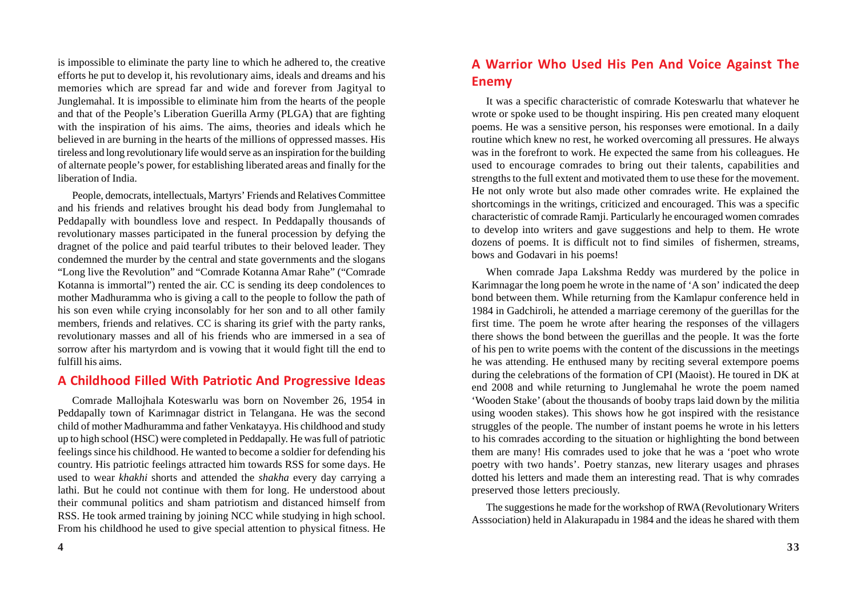is impossible to eliminate the party line to which he adhered to, the creative efforts he put to develop it, his revolutionary aims, ideals and dreams and his memories which are spread far and wide and forever from Jagityal to Junglemahal. It is impossible to eliminate him from the hearts of the people and that of the People's Liberation Guerilla Army (PLGA) that are fighting with the inspiration of his aims. The aims, theories and ideals which he believed in are burning in the hearts of the millions of oppressed masses. His tireless and long revolutionary life would serve as an inspiration for the building of alternate people's power, for establishing liberated areas and finally for the liberation of India.

People, democrats, intellectuals, Martyrs' Friends and Relatives Committee and his friends and relatives brought his dead body from Junglemahal to Peddapally with boundless love and respect. In Peddapally thousands of revolutionary masses participated in the funeral procession by defying the dragnet of the police and paid tearful tributes to their beloved leader. They condemned the murder by the central and state governments and the slogans "Long live the Revolution" and "Comrade Kotanna Amar Rahe" ("Comrade Kotanna is immortal") rented the air. CC is sending its deep condolences to mother Madhuramma who is giving a call to the people to follow the path of his son even while crying inconsolably for her son and to all other family members, friends and relatives. CC is sharing its grief with the party ranks, revolutionary masses and all of his friends who are immersed in a sea of sorrow after his martyrdom and is vowing that it would fight till the end to fulfill his aims.

#### **A Childhood Filled With Patriotic And Progressive Ideas**

Comrade Mallojhala Koteswarlu was born on November 26, 1954 in Peddapally town of Karimnagar district in Telangana. He was the second child of mother Madhuramma and father Venkatayya. His childhood and study up to high school (HSC) were completed in Peddapally. He was full of patriotic feelings since his childhood. He wanted to become a soldier for defending his country. His patriotic feelings attracted him towards RSS for some days. He used to wear *khakhi* shorts and attended the *shakha* every day carrying a lathi. But he could not continue with them for long. He understood about their communal politics and sham patriotism and distanced himself from RSS. He took armed training by joining NCC while studying in high school. From his childhood he used to give special attention to physical fitness. He

## **A Warrior Who Used His Pen And Voice Against The Enemy**

It was a specific characteristic of comrade Koteswarlu that whatever he wrote or spoke used to be thought inspiring. His pen created many eloquent poems. He was a sensitive person, his responses were emotional. In a daily routine which knew no rest, he worked overcoming all pressures. He always was in the forefront to work. He expected the same from his colleagues. He used to encourage comrades to bring out their talents, capabilities and strengths to the full extent and motivated them to use these for the movement. He not only wrote but also made other comrades write. He explained the shortcomings in the writings, criticized and encouraged. This was a specific characteristic of comrade Ramji. Particularly he encouraged women comrades to develop into writers and gave suggestions and help to them. He wrote dozens of poems. It is difficult not to find similes of fishermen, streams, bows and Godavari in his poems!

When comrade Japa Lakshma Reddy was murdered by the police in Karimnagar the long poem he wrote in the name of 'A son' indicated the deep bond between them. While returning from the Kamlapur conference held in 1984 in Gadchiroli, he attended a marriage ceremony of the guerillas for the first time. The poem he wrote after hearing the responses of the villagers there shows the bond between the guerillas and the people. It was the forte of his pen to write poems with the content of the discussions in the meetings he was attending. He enthused many by reciting several extempore poems during the celebrations of the formation of CPI (Maoist). He toured in DK at end 2008 and while returning to Junglemahal he wrote the poem named 'Wooden Stake' (about the thousands of booby traps laid down by the militia using wooden stakes). This shows how he got inspired with the resistance struggles of the people. The number of instant poems he wrote in his letters to his comrades according to the situation or highlighting the bond between them are many! His comrades used to joke that he was a 'poet who wrote poetry with two hands'. Poetry stanzas, new literary usages and phrases dotted his letters and made them an interesting read. That is why comrades preserved those letters preciously.

The suggestions he made for the workshop of RWA (Revolutionary Writers Asssociation) held in Alakurapadu in 1984 and the ideas he shared with them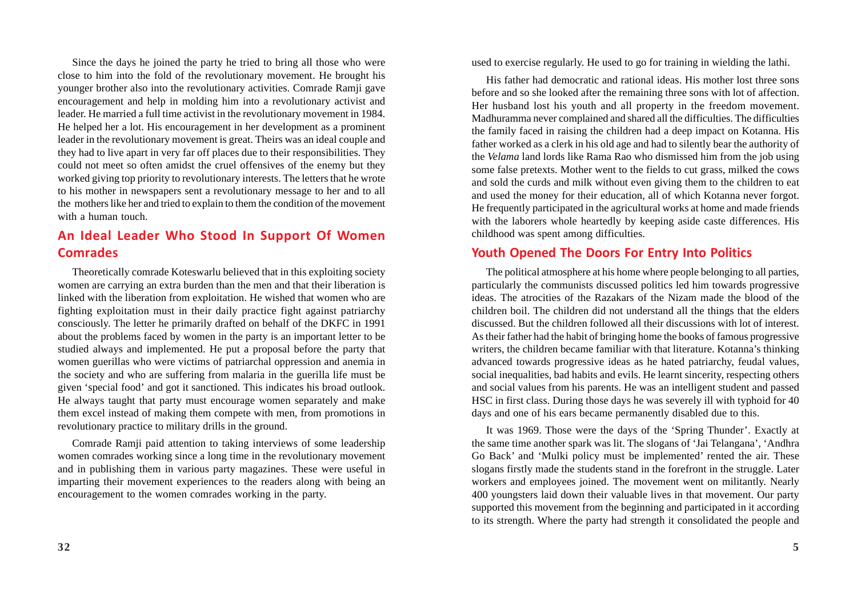Since the days he joined the party he tried to bring all those who were close to him into the fold of the revolutionary movement. He brought his younger brother also into the revolutionary activities. Comrade Ramji gave encouragement and help in molding him into a revolutionary activist and leader. He married a full time activist in the revolutionary movement in 1984. He helped her a lot. His encouragement in her development as a prominent leader in the revolutionary movement is great. Theirs was an ideal couple and they had to live apart in very far off places due to their responsibilities. They could not meet so often amidst the cruel offensives of the enemy but they worked giving top priority to revolutionary interests. The letters that he wrote to his mother in newspapers sent a revolutionary message to her and to all the mothers like her and tried to explain to them the condition of the movement with a human touch.

## **An Ideal Leader Who Stood In Support Of Women Comrades**

Theoretically comrade Koteswarlu believed that in this exploiting society women are carrying an extra burden than the men and that their liberation is linked with the liberation from exploitation. He wished that women who are fighting exploitation must in their daily practice fight against patriarchy consciously. The letter he primarily drafted on behalf of the DKFC in 1991 about the problems faced by women in the party is an important letter to be studied always and implemented. He put a proposal before the party that women guerillas who were victims of patriarchal oppression and anemia in the society and who are suffering from malaria in the guerilla life must be given 'special food' and got it sanctioned. This indicates his broad outlook. He always taught that party must encourage women separately and make them excel instead of making them compete with men, from promotions in revolutionary practice to military drills in the ground.

Comrade Ramji paid attention to taking interviews of some leadership women comrades working since a long time in the revolutionary movement and in publishing them in various party magazines. These were useful in imparting their movement experiences to the readers along with being an encouragement to the women comrades working in the party.

used to exercise regularly. He used to go for training in wielding the lathi.

His father had democratic and rational ideas. His mother lost three sons before and so she looked after the remaining three sons with lot of affection. Her husband lost his youth and all property in the freedom movement. Madhuramma never complained and shared all the difficulties. The difficulties the family faced in raising the children had a deep impact on Kotanna. His father worked as a clerk in his old age and had to silently bear the authority of the *Velama* land lords like Rama Rao who dismissed him from the job using some false pretexts. Mother went to the fields to cut grass, milked the cows and sold the curds and milk without even giving them to the children to eat and used the money for their education, all of which Kotanna never forgot. He frequently participated in the agricultural works at home and made friends with the laborers whole heartedly by keeping aside caste differences. His childhood was spent among difficulties.

#### **Youth Opened The Doors For Entry Into Politics**

The political atmosphere at his home where people belonging to all parties, particularly the communists discussed politics led him towards progressive ideas. The atrocities of the Razakars of the Nizam made the blood of the children boil. The children did not understand all the things that the elders discussed. But the children followed all their discussions with lot of interest. As their father had the habit of bringing home the books of famous progressive writers, the children became familiar with that literature. Kotanna's thinking advanced towards progressive ideas as he hated patriarchy, feudal values, social inequalities, bad habits and evils. He learnt sincerity, respecting others and social values from his parents. He was an intelligent student and passed HSC in first class. During those days he was severely ill with typhoid for 40 days and one of his ears became permanently disabled due to this.

It was 1969. Those were the days of the 'Spring Thunder'. Exactly at the same time another spark was lit. The slogans of 'Jai Telangana', 'Andhra Go Back' and 'Mulki policy must be implemented' rented the air. These slogans firstly made the students stand in the forefront in the struggle. Later workers and employees joined. The movement went on militantly. Nearly 400 youngsters laid down their valuable lives in that movement. Our party supported this movement from the beginning and participated in it according to its strength. Where the party had strength it consolidated the people and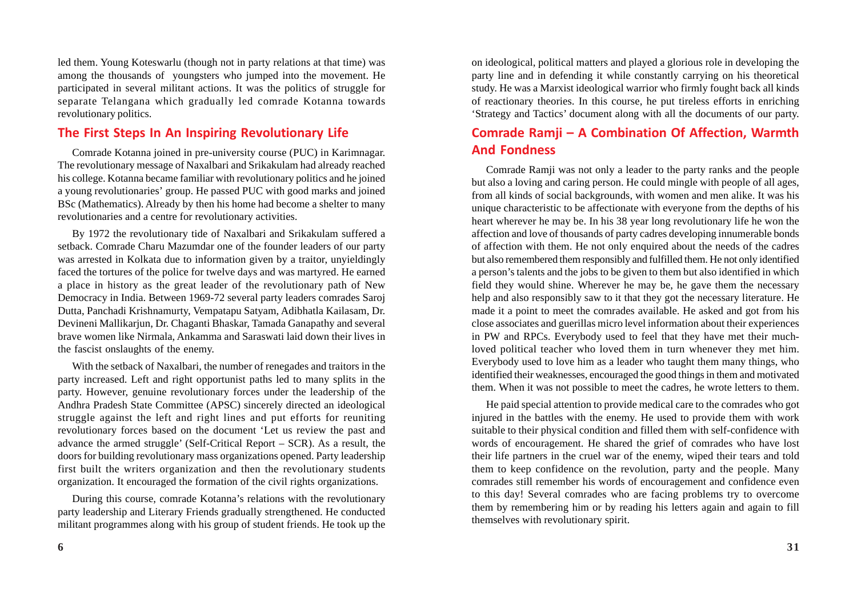led them. Young Koteswarlu (though not in party relations at that time) was among the thousands of youngsters who jumped into the movement. He participated in several militant actions. It was the politics of struggle for separate Telangana which gradually led comrade Kotanna towards revolutionary politics.

#### **The First Steps In An Inspiring Revolutionary Life**

Comrade Kotanna joined in pre-university course (PUC) in Karimnagar. The revolutionary message of Naxalbari and Srikakulam had already reached his college. Kotanna became familiar with revolutionary politics and he joined a young revolutionaries' group. He passed PUC with good marks and joined BSc (Mathematics). Already by then his home had become a shelter to many revolutionaries and a centre for revolutionary activities.

By 1972 the revolutionary tide of Naxalbari and Srikakulam suffered a setback. Comrade Charu Mazumdar one of the founder leaders of our party was arrested in Kolkata due to information given by a traitor, unyieldingly faced the tortures of the police for twelve days and was martyred. He earned a place in history as the great leader of the revolutionary path of New Democracy in India. Between 1969-72 several party leaders comrades Saroj Dutta, Panchadi Krishnamurty, Vempatapu Satyam, Adibhatla Kailasam, Dr. Devineni Mallikarjun, Dr. Chaganti Bhaskar, Tamada Ganapathy and several brave women like Nirmala, Ankamma and Saraswati laid down their lives in the fascist onslaughts of the enemy.

With the setback of Naxalbari, the number of renegades and traitors in the party increased. Left and right opportunist paths led to many splits in the party. However, genuine revolutionary forces under the leadership of the Andhra Pradesh State Committee (APSC) sincerely directed an ideological struggle against the left and right lines and put efforts for reuniting revolutionary forces based on the document 'Let us review the past and advance the armed struggle' (Self-Critical Report – SCR). As a result, the doors for building revolutionary mass organizations opened. Party leadership first built the writers organization and then the revolutionary students organization. It encouraged the formation of the civil rights organizations.

During this course, comrade Kotanna's relations with the revolutionary party leadership and Literary Friends gradually strengthened. He conducted militant programmes along with his group of student friends. He took up the on ideological, political matters and played a glorious role in developing the party line and in defending it while constantly carrying on his theoretical study. He was a Marxist ideological warrior who firmly fought back all kinds of reactionary theories. In this course, he put tireless efforts in enriching 'Strategy and Tactics' document along with all the documents of our party.

# **Comrade Ramji – A Combination Of Affection, Warmth And Fondness**

Comrade Ramji was not only a leader to the party ranks and the people but also a loving and caring person. He could mingle with people of all ages, from all kinds of social backgrounds, with women and men alike. It was his unique characteristic to be affectionate with everyone from the depths of his heart wherever he may be. In his 38 year long revolutionary life he won the affection and love of thousands of party cadres developing innumerable bonds of affection with them. He not only enquired about the needs of the cadres but also remembered them responsibly and fulfilled them. He not only identified a person's talents and the jobs to be given to them but also identified in which field they would shine. Wherever he may be, he gave them the necessary help and also responsibly saw to it that they got the necessary literature. He made it a point to meet the comrades available. He asked and got from his close associates and guerillas micro level information about their experiences in PW and RPCs. Everybody used to feel that they have met their muchloved political teacher who loved them in turn whenever they met him. Everybody used to love him as a leader who taught them many things, who identified their weaknesses, encouraged the good things in them and motivated them. When it was not possible to meet the cadres, he wrote letters to them.

He paid special attention to provide medical care to the comrades who got injured in the battles with the enemy. He used to provide them with work suitable to their physical condition and filled them with self-confidence with words of encouragement. He shared the grief of comrades who have lost their life partners in the cruel war of the enemy, wiped their tears and told them to keep confidence on the revolution, party and the people. Many comrades still remember his words of encouragement and confidence even to this day! Several comrades who are facing problems try to overcome them by remembering him or by reading his letters again and again to fill themselves with revolutionary spirit.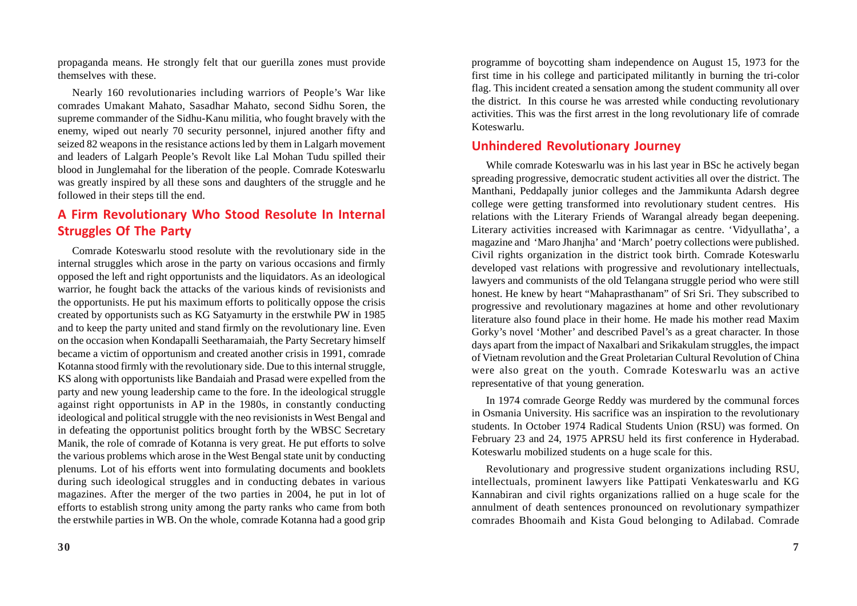propaganda means. He strongly felt that our guerilla zones must provide themselves with these.

Nearly 160 revolutionaries including warriors of People's War like comrades Umakant Mahato, Sasadhar Mahato, second Sidhu Soren, the supreme commander of the Sidhu-Kanu militia, who fought bravely with the enemy, wiped out nearly 70 security personnel, injured another fifty and seized 82 weapons in the resistance actions led by them in Lalgarh movement and leaders of Lalgarh People's Revolt like Lal Mohan Tudu spilled their blood in Junglemahal for the liberation of the people. Comrade Koteswarlu was greatly inspired by all these sons and daughters of the struggle and he followed in their steps till the end.

## **A Firm Revolutionary Who Stood Resolute In Internal Struggles Of The Party**

Comrade Koteswarlu stood resolute with the revolutionary side in the internal struggles which arose in the party on various occasions and firmly opposed the left and right opportunists and the liquidators. As an ideological warrior, he fought back the attacks of the various kinds of revisionists and the opportunists. He put his maximum efforts to politically oppose the crisis created by opportunists such as KG Satyamurty in the erstwhile PW in 1985 and to keep the party united and stand firmly on the revolutionary line. Even on the occasion when Kondapalli Seetharamaiah, the Party Secretary himself became a victim of opportunism and created another crisis in 1991, comrade Kotanna stood firmly with the revolutionary side. Due to this internal struggle, KS along with opportunists like Bandaiah and Prasad were expelled from the party and new young leadership came to the fore. In the ideological struggle against right opportunists in AP in the 1980s, in constantly conducting ideological and political struggle with the neo revisionists in West Bengal and in defeating the opportunist politics brought forth by the WBSC Secretary Manik, the role of comrade of Kotanna is very great. He put efforts to solve the various problems which arose in the West Bengal state unit by conducting plenums. Lot of his efforts went into formulating documents and booklets during such ideological struggles and in conducting debates in various magazines. After the merger of the two parties in 2004, he put in lot of efforts to establish strong unity among the party ranks who came from both the erstwhile parties in WB. On the whole, comrade Kotanna had a good grip

programme of boycotting sham independence on August 15, 1973 for the first time in his college and participated militantly in burning the tri-color flag. This incident created a sensation among the student community all over the district. In this course he was arrested while conducting revolutionary activities. This was the first arrest in the long revolutionary life of comrade Koteswarlu.

#### **Unhindered Revolutionary Journey**

While comrade Koteswarlu was in his last year in BSc he actively began spreading progressive, democratic student activities all over the district. The Manthani, Peddapally junior colleges and the Jammikunta Adarsh degree college were getting transformed into revolutionary student centres. His relations with the Literary Friends of Warangal already began deepening. Literary activities increased with Karimnagar as centre. 'Vidyullatha', a magazine and 'Maro Jhanjha' and 'March' poetry collections were published. Civil rights organization in the district took birth. Comrade Koteswarlu developed vast relations with progressive and revolutionary intellectuals, lawyers and communists of the old Telangana struggle period who were still honest. He knew by heart "Mahaprasthanam" of Sri Sri. They subscribed to progressive and revolutionary magazines at home and other revolutionary literature also found place in their home. He made his mother read Maxim Gorky's novel 'Mother' and described Pavel's as a great character. In those days apart from the impact of Naxalbari and Srikakulam struggles, the impact of Vietnam revolution and the Great Proletarian Cultural Revolution of China were also great on the youth. Comrade Koteswarlu was an active representative of that young generation.

In 1974 comrade George Reddy was murdered by the communal forces in Osmania University. His sacrifice was an inspiration to the revolutionary students. In October 1974 Radical Students Union (RSU) was formed. On February 23 and 24, 1975 APRSU held its first conference in Hyderabad. Koteswarlu mobilized students on a huge scale for this.

Revolutionary and progressive student organizations including RSU, intellectuals, prominent lawyers like Pattipati Venkateswarlu and KG Kannabiran and civil rights organizations rallied on a huge scale for the annulment of death sentences pronounced on revolutionary sympathizer comrades Bhoomaih and Kista Goud belonging to Adilabad. Comrade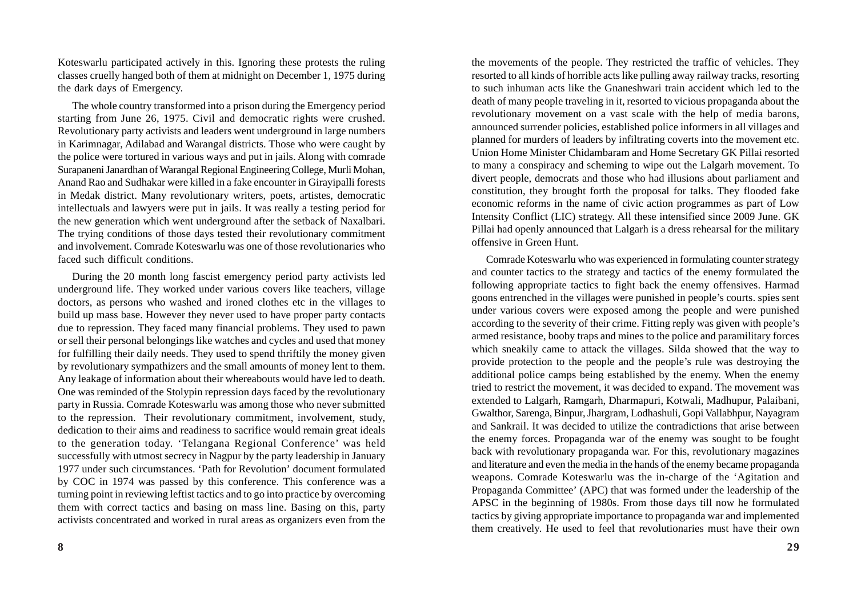Koteswarlu participated actively in this. Ignoring these protests the ruling classes cruelly hanged both of them at midnight on December 1, 1975 during the dark days of Emergency.

The whole country transformed into a prison during the Emergency period starting from June 26, 1975. Civil and democratic rights were crushed. Revolutionary party activists and leaders went underground in large numbers in Karimnagar, Adilabad and Warangal districts. Those who were caught by the police were tortured in various ways and put in jails. Along with comrade Surapaneni Janardhan of Warangal Regional Engineering College, Murli Mohan, Anand Rao and Sudhakar were killed in a fake encounter in Girayipalli forests in Medak district. Many revolutionary writers, poets, artistes, democratic intellectuals and lawyers were put in jails. It was really a testing period for the new generation which went underground after the setback of Naxalbari. The trying conditions of those days tested their revolutionary commitment and involvement. Comrade Koteswarlu was one of those revolutionaries who faced such difficult conditions.

During the 20 month long fascist emergency period party activists led underground life. They worked under various covers like teachers, village doctors, as persons who washed and ironed clothes etc in the villages to build up mass base. However they never used to have proper party contacts due to repression. They faced many financial problems. They used to pawn or sell their personal belongings like watches and cycles and used that money for fulfilling their daily needs. They used to spend thriftily the money given by revolutionary sympathizers and the small amounts of money lent to them. Any leakage of information about their whereabouts would have led to death. One was reminded of the Stolypin repression days faced by the revolutionary party in Russia. Comrade Koteswarlu was among those who never submitted to the repression. Their revolutionary commitment, involvement, study, dedication to their aims and readiness to sacrifice would remain great ideals to the generation today. 'Telangana Regional Conference' was held successfully with utmost secrecy in Nagpur by the party leadership in January 1977 under such circumstances. 'Path for Revolution' document formulated by COC in 1974 was passed by this conference. This conference was a turning point in reviewing leftist tactics and to go into practice by overcoming them with correct tactics and basing on mass line. Basing on this, party activists concentrated and worked in rural areas as organizers even from the the movements of the people. They restricted the traffic of vehicles. They resorted to all kinds of horrible acts like pulling away railway tracks, resorting to such inhuman acts like the Gnaneshwari train accident which led to the death of many people traveling in it, resorted to vicious propaganda about the revolutionary movement on a vast scale with the help of media barons, announced surrender policies, established police informers in all villages and planned for murders of leaders by infiltrating coverts into the movement etc. Union Home Minister Chidambaram and Home Secretary GK Pillai resorted to many a conspiracy and scheming to wipe out the Lalgarh movement. To divert people, democrats and those who had illusions about parliament and constitution, they brought forth the proposal for talks. They flooded fake economic reforms in the name of civic action programmes as part of Low Intensity Conflict (LIC) strategy. All these intensified since 2009 June. GK Pillai had openly announced that Lalgarh is a dress rehearsal for the military offensive in Green Hunt.

Comrade Koteswarlu who was experienced in formulating counter strategy and counter tactics to the strategy and tactics of the enemy formulated the following appropriate tactics to fight back the enemy offensives. Harmad goons entrenched in the villages were punished in people's courts. spies sent under various covers were exposed among the people and were punished according to the severity of their crime. Fitting reply was given with people's armed resistance, booby traps and mines to the police and paramilitary forces which sneakily came to attack the villages. Silda showed that the way to provide protection to the people and the people's rule was destroying the additional police camps being established by the enemy. When the enemy tried to restrict the movement, it was decided to expand. The movement was extended to Lalgarh, Ramgarh, Dharmapuri, Kotwali, Madhupur, Palaibani, Gwalthor, Sarenga, Binpur, Jhargram, Lodhashuli, Gopi Vallabhpur, Nayagram and Sankrail. It was decided to utilize the contradictions that arise between the enemy forces. Propaganda war of the enemy was sought to be fought back with revolutionary propaganda war. For this, revolutionary magazines and literature and even the media in the hands of the enemy became propaganda weapons. Comrade Koteswarlu was the in-charge of the 'Agitation and Propaganda Committee' (APC) that was formed under the leadership of the APSC in the beginning of 1980s. From those days till now he formulated tactics by giving appropriate importance to propaganda war and implemented them creatively. He used to feel that revolutionaries must have their own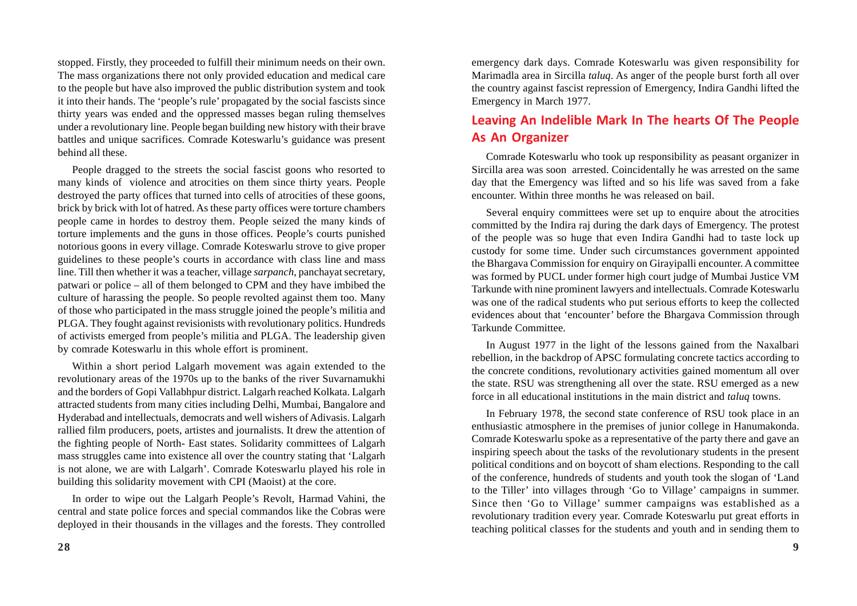stopped. Firstly, they proceeded to fulfill their minimum needs on their own. The mass organizations there not only provided education and medical care to the people but have also improved the public distribution system and took it into their hands. The 'people's rule' propagated by the social fascists since thirty years was ended and the oppressed masses began ruling themselves under a revolutionary line. People began building new history with their brave battles and unique sacrifices. Comrade Koteswarlu's guidance was present behind all these.

People dragged to the streets the social fascist goons who resorted to many kinds of violence and atrocities on them since thirty years. People destroyed the party offices that turned into cells of atrocities of these goons, brick by brick with lot of hatred. As these party offices were torture chambers people came in hordes to destroy them. People seized the many kinds of torture implements and the guns in those offices. People's courts punished notorious goons in every village. Comrade Koteswarlu strove to give proper guidelines to these people's courts in accordance with class line and mass line. Till then whether it was a teacher, village *sarpanch*, panchayat secretary, patwari or police – all of them belonged to CPM and they have imbibed the culture of harassing the people. So people revolted against them too. Many of those who participated in the mass struggle joined the people's militia and PLGA. They fought against revisionists with revolutionary politics. Hundreds of activists emerged from people's militia and PLGA. The leadership given by comrade Koteswarlu in this whole effort is prominent.

Within a short period Lalgarh movement was again extended to the revolutionary areas of the 1970s up to the banks of the river Suvarnamukhi and the borders of Gopi Vallabhpur district. Lalgarh reached Kolkata. Lalgarh attracted students from many cities including Delhi, Mumbai, Bangalore and Hyderabad and intellectuals, democrats and well wishers of Adivasis. Lalgarh rallied film producers, poets, artistes and journalists. It drew the attention of the fighting people of North- East states. Solidarity committees of Lalgarh mass struggles came into existence all over the country stating that 'Lalgarh is not alone, we are with Lalgarh'. Comrade Koteswarlu played his role in building this solidarity movement with CPI (Maoist) at the core.

In order to wipe out the Lalgarh People's Revolt, Harmad Vahini, the central and state police forces and special commandos like the Cobras were deployed in their thousands in the villages and the forests. They controlled

emergency dark days. Comrade Koteswarlu was given responsibility for Marimadla area in Sircilla *taluq*. As anger of the people burst forth all over the country against fascist repression of Emergency, Indira Gandhi lifted the Emergency in March 1977.

## **Leaving An Indelible Mark In The hearts Of The People As An Organizer**

Comrade Koteswarlu who took up responsibility as peasant organizer in Sircilla area was soon arrested. Coincidentally he was arrested on the same day that the Emergency was lifted and so his life was saved from a fake encounter. Within three months he was released on bail.

Several enquiry committees were set up to enquire about the atrocities committed by the Indira raj during the dark days of Emergency. The protest of the people was so huge that even Indira Gandhi had to taste lock up custody for some time. Under such circumstances government appointed the Bhargava Commission for enquiry on Girayipalli encounter. A committee was formed by PUCL under former high court judge of Mumbai Justice VM Tarkunde with nine prominent lawyers and intellectuals. Comrade Koteswarlu was one of the radical students who put serious efforts to keep the collected evidences about that 'encounter' before the Bhargava Commission through Tarkunde Committee.

In August 1977 in the light of the lessons gained from the Naxalbari rebellion, in the backdrop of APSC formulating concrete tactics according to the concrete conditions, revolutionary activities gained momentum all over the state. RSU was strengthening all over the state. RSU emerged as a new force in all educational institutions in the main district and *taluq* towns.

In February 1978, the second state conference of RSU took place in an enthusiastic atmosphere in the premises of junior college in Hanumakonda. Comrade Koteswarlu spoke as a representative of the party there and gave an inspiring speech about the tasks of the revolutionary students in the present political conditions and on boycott of sham elections. Responding to the call of the conference, hundreds of students and youth took the slogan of 'Land to the Tiller' into villages through 'Go to Village' campaigns in summer. Since then 'Go to Village' summer campaigns was established as a revolutionary tradition every year. Comrade Koteswarlu put great efforts in teaching political classes for the students and youth and in sending them to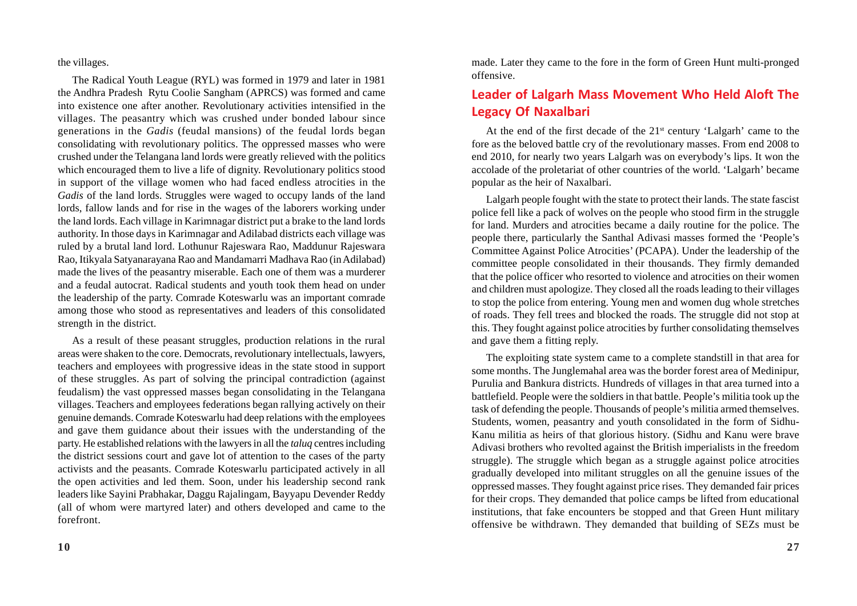the villages.

The Radical Youth League (RYL) was formed in 1979 and later in 1981 the Andhra Pradesh Rytu Coolie Sangham (APRCS) was formed and came into existence one after another. Revolutionary activities intensified in the villages. The peasantry which was crushed under bonded labour since generations in the *Gadis* (feudal mansions) of the feudal lords began consolidating with revolutionary politics. The oppressed masses who were crushed under the Telangana land lords were greatly relieved with the politics which encouraged them to live a life of dignity. Revolutionary politics stood in support of the village women who had faced endless atrocities in the *Gadis* of the land lords. Struggles were waged to occupy lands of the land lords, fallow lands and for rise in the wages of the laborers working under the land lords. Each village in Karimnagar district put a brake to the land lords authority. In those days in Karimnagar and Adilabad districts each village was ruled by a brutal land lord. Lothunur Rajeswara Rao, Maddunur Rajeswara Rao, Itikyala Satyanarayana Rao and Mandamarri Madhava Rao (in Adilabad) made the lives of the peasantry miserable. Each one of them was a murderer and a feudal autocrat. Radical students and youth took them head on under the leadership of the party. Comrade Koteswarlu was an important comrade among those who stood as representatives and leaders of this consolidated strength in the district.

As a result of these peasant struggles, production relations in the rural areas were shaken to the core. Democrats, revolutionary intellectuals, lawyers, teachers and employees with progressive ideas in the state stood in support of these struggles. As part of solving the principal contradiction (against feudalism) the vast oppressed masses began consolidating in the Telangana villages. Teachers and employees federations began rallying actively on their genuine demands. Comrade Koteswarlu had deep relations with the employees and gave them guidance about their issues with the understanding of the party. He established relations with the lawyers in all the *taluq* centres including the district sessions court and gave lot of attention to the cases of the party activists and the peasants. Comrade Koteswarlu participated actively in all the open activities and led them. Soon, under his leadership second rank leaders like Sayini Prabhakar, Daggu Rajalingam, Bayyapu Devender Reddy (all of whom were martyred later) and others developed and came to the forefront.

made. Later they came to the fore in the form of Green Hunt multi-pronged offensive.

## **Leader of Lalgarh Mass Movement Who Held Aloft The Legacy Of Naxalbari**

At the end of the first decade of the  $21<sup>st</sup>$  century 'Lalgarh' came to the fore as the beloved battle cry of the revolutionary masses. From end 2008 to end 2010, for nearly two years Lalgarh was on everybody's lips. It won the accolade of the proletariat of other countries of the world. 'Lalgarh' became popular as the heir of Naxalbari.

Lalgarh people fought with the state to protect their lands. The state fascist police fell like a pack of wolves on the people who stood firm in the struggle for land. Murders and atrocities became a daily routine for the police. The people there, particularly the Santhal Adivasi masses formed the 'People's Committee Against Police Atrocities' (PCAPA). Under the leadership of the committee people consolidated in their thousands. They firmly demanded that the police officer who resorted to violence and atrocities on their women and children must apologize. They closed all the roads leading to their villages to stop the police from entering. Young men and women dug whole stretches of roads. They fell trees and blocked the roads. The struggle did not stop at this. They fought against police atrocities by further consolidating themselves and gave them a fitting reply.

The exploiting state system came to a complete standstill in that area for some months. The Junglemahal area was the border forest area of Medinipur, Purulia and Bankura districts. Hundreds of villages in that area turned into a battlefield. People were the soldiers in that battle. People's militia took up the task of defending the people. Thousands of people's militia armed themselves. Students, women, peasantry and youth consolidated in the form of Sidhu-Kanu militia as heirs of that glorious history. (Sidhu and Kanu were brave Adivasi brothers who revolted against the British imperialists in the freedom struggle). The struggle which began as a struggle against police atrocities gradually developed into militant struggles on all the genuine issues of the oppressed masses. They fought against price rises. They demanded fair prices for their crops. They demanded that police camps be lifted from educational institutions, that fake encounters be stopped and that Green Hunt military offensive be withdrawn. They demanded that building of SEZs must be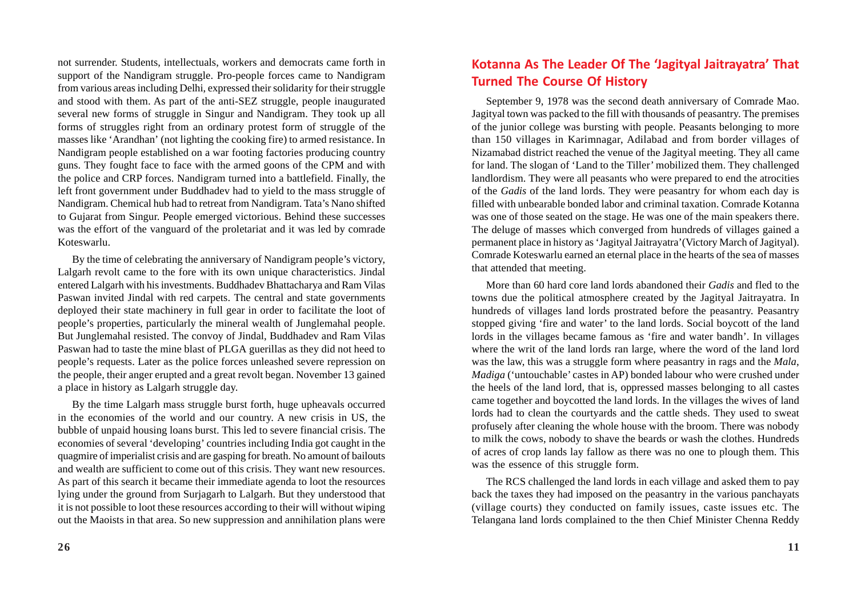not surrender. Students, intellectuals, workers and democrats came forth in support of the Nandigram struggle. Pro-people forces came to Nandigram from various areas including Delhi, expressed their solidarity for their struggle and stood with them. As part of the anti-SEZ struggle, people inaugurated several new forms of struggle in Singur and Nandigram. They took up all forms of struggles right from an ordinary protest form of struggle of the masses like 'Arandhan' (not lighting the cooking fire) to armed resistance. In Nandigram people established on a war footing factories producing country guns. They fought face to face with the armed goons of the CPM and with the police and CRP forces. Nandigram turned into a battlefield. Finally, the left front government under Buddhadev had to yield to the mass struggle of Nandigram. Chemical hub had to retreat from Nandigram. Tata's Nano shifted to Gujarat from Singur. People emerged victorious. Behind these successes was the effort of the vanguard of the proletariat and it was led by comrade Koteswarlu.

By the time of celebrating the anniversary of Nandigram people's victory, Lalgarh revolt came to the fore with its own unique characteristics. Jindal entered Lalgarh with his investments. Buddhadev Bhattacharya and Ram Vilas Paswan invited Jindal with red carpets. The central and state governments deployed their state machinery in full gear in order to facilitate the loot of people's properties, particularly the mineral wealth of Junglemahal people. But Junglemahal resisted. The convoy of Jindal, Buddhadev and Ram Vilas Paswan had to taste the mine blast of PLGA guerillas as they did not heed to people's requests. Later as the police forces unleashed severe repression on the people, their anger erupted and a great revolt began. November 13 gained a place in history as Lalgarh struggle day.

By the time Lalgarh mass struggle burst forth, huge upheavals occurred in the economies of the world and our country. A new crisis in US, the bubble of unpaid housing loans burst. This led to severe financial crisis. The economies of several 'developing' countries including India got caught in the quagmire of imperialist crisis and are gasping for breath. No amount of bailouts and wealth are sufficient to come out of this crisis. They want new resources. As part of this search it became their immediate agenda to loot the resources lying under the ground from Surjagarh to Lalgarh. But they understood that it is not possible to loot these resources according to their will without wiping out the Maoists in that area. So new suppression and annihilation plans were

### **Kotanna As The Leader Of The 'Jagityal Jaitrayatra' That Turned The Course Of History**

September 9, 1978 was the second death anniversary of Comrade Mao. Jagityal town was packed to the fill with thousands of peasantry. The premises of the junior college was bursting with people. Peasants belonging to more than 150 villages in Karimnagar, Adilabad and from border villages of Nizamabad district reached the venue of the Jagityal meeting. They all came for land. The slogan of 'Land to the Tiller' mobilized them. They challenged landlordism. They were all peasants who were prepared to end the atrocities of the *Gadis* of the land lords. They were peasantry for whom each day is filled with unbearable bonded labor and criminal taxation. Comrade Kotanna was one of those seated on the stage. He was one of the main speakers there. The deluge of masses which converged from hundreds of villages gained a permanent place in history as 'Jagityal Jaitrayatra'(Victory March of Jagityal). Comrade Koteswarlu earned an eternal place in the hearts of the sea of masses that attended that meeting.

More than 60 hard core land lords abandoned their *Gadis* and fled to the towns due the political atmosphere created by the Jagityal Jaitrayatra. In hundreds of villages land lords prostrated before the peasantry. Peasantry stopped giving 'fire and water' to the land lords. Social boycott of the land lords in the villages became famous as 'fire and water bandh'. In villages where the writ of the land lords ran large, where the word of the land lord was the law, this was a struggle form where peasantry in rags and the *Mala*, *Madiga* ('untouchable' castes in AP) bonded labour who were crushed under the heels of the land lord, that is, oppressed masses belonging to all castes came together and boycotted the land lords. In the villages the wives of land lords had to clean the courtyards and the cattle sheds. They used to sweat profusely after cleaning the whole house with the broom. There was nobody to milk the cows, nobody to shave the beards or wash the clothes. Hundreds of acres of crop lands lay fallow as there was no one to plough them. This was the essence of this struggle form.

The RCS challenged the land lords in each village and asked them to pay back the taxes they had imposed on the peasantry in the various panchayats (village courts) they conducted on family issues, caste issues etc. The Telangana land lords complained to the then Chief Minister Chenna Reddy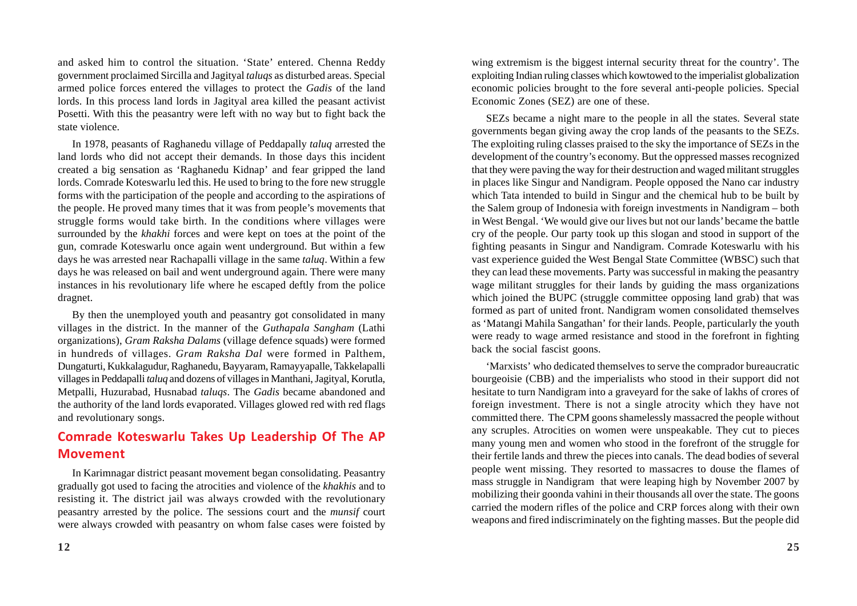and asked him to control the situation. 'State' entered. Chenna Reddy government proclaimed Sircilla and Jagityal *taluqs* as disturbed areas. Special armed police forces entered the villages to protect the *Gadis* of the land lords. In this process land lords in Jagityal area killed the peasant activist Posetti. With this the peasantry were left with no way but to fight back the state violence.

In 1978, peasants of Raghanedu village of Peddapally *taluq* arrested the land lords who did not accept their demands. In those days this incident created a big sensation as 'Raghanedu Kidnap' and fear gripped the land lords. Comrade Koteswarlu led this. He used to bring to the fore new struggle forms with the participation of the people and according to the aspirations of the people. He proved many times that it was from people's movements that struggle forms would take birth. In the conditions where villages were surrounded by the *khakhi* forces and were kept on toes at the point of the gun, comrade Koteswarlu once again went underground. But within a few days he was arrested near Rachapalli village in the same *taluq*. Within a few days he was released on bail and went underground again. There were many instances in his revolutionary life where he escaped deftly from the police dragnet.

By then the unemployed youth and peasantry got consolidated in many villages in the district. In the manner of the *Guthapala Sangham* (Lathi organizations), *Gram Raksha Dalams* (village defence squads) were formed in hundreds of villages. *Gram Raksha Dal* were formed in Palthem, Dungaturti, Kukkalagudur, Raghanedu, Bayyaram, Ramayyapalle, Takkelapalli villages in Peddapalli *taluq* and dozens of villages in Manthani, Jagityal, Korutla, Metpalli, Huzurabad, Husnabad *taluqs*. The *Gadis* became abandoned and the authority of the land lords evaporated. Villages glowed red with red flags and revolutionary songs.

## **Comrade Koteswarlu Takes Up Leadership Of The AP Movement**

In Karimnagar district peasant movement began consolidating. Peasantry gradually got used to facing the atrocities and violence of the *khakhis* and to resisting it. The district jail was always crowded with the revolutionary peasantry arrested by the police. The sessions court and the *munsif* court were always crowded with peasantry on whom false cases were foisted by wing extremism is the biggest internal security threat for the country'. The exploiting Indian ruling classes which kowtowed to the imperialist globalization economic policies brought to the fore several anti-people policies. Special Economic Zones (SEZ) are one of these.

SEZs became a night mare to the people in all the states. Several state governments began giving away the crop lands of the peasants to the SEZs. The exploiting ruling classes praised to the sky the importance of SEZs in the development of the country's economy. But the oppressed masses recognized that they were paving the way for their destruction and waged militant struggles in places like Singur and Nandigram. People opposed the Nano car industry which Tata intended to build in Singur and the chemical hub to be built by the Salem group of Indonesia with foreign investments in Nandigram – both in West Bengal. 'We would give our lives but not our lands' became the battle cry of the people. Our party took up this slogan and stood in support of the fighting peasants in Singur and Nandigram. Comrade Koteswarlu with his vast experience guided the West Bengal State Committee (WBSC) such that they can lead these movements. Party was successful in making the peasantry wage militant struggles for their lands by guiding the mass organizations which joined the BUPC (struggle committee opposing land grab) that was formed as part of united front. Nandigram women consolidated themselves as 'Matangi Mahila Sangathan' for their lands. People, particularly the youth were ready to wage armed resistance and stood in the forefront in fighting back the social fascist goons.

'Marxists' who dedicated themselves to serve the comprador bureaucratic bourgeoisie (CBB) and the imperialists who stood in their support did not hesitate to turn Nandigram into a graveyard for the sake of lakhs of crores of foreign investment. There is not a single atrocity which they have not committed there. The CPM goons shamelessly massacred the people without any scruples. Atrocities on women were unspeakable. They cut to pieces many young men and women who stood in the forefront of the struggle for their fertile lands and threw the pieces into canals. The dead bodies of several people went missing. They resorted to massacres to douse the flames of mass struggle in Nandigram that were leaping high by November 2007 by mobilizing their goonda vahini in their thousands all over the state. The goons carried the modern rifles of the police and CRP forces along with their own weapons and fired indiscriminately on the fighting masses. But the people did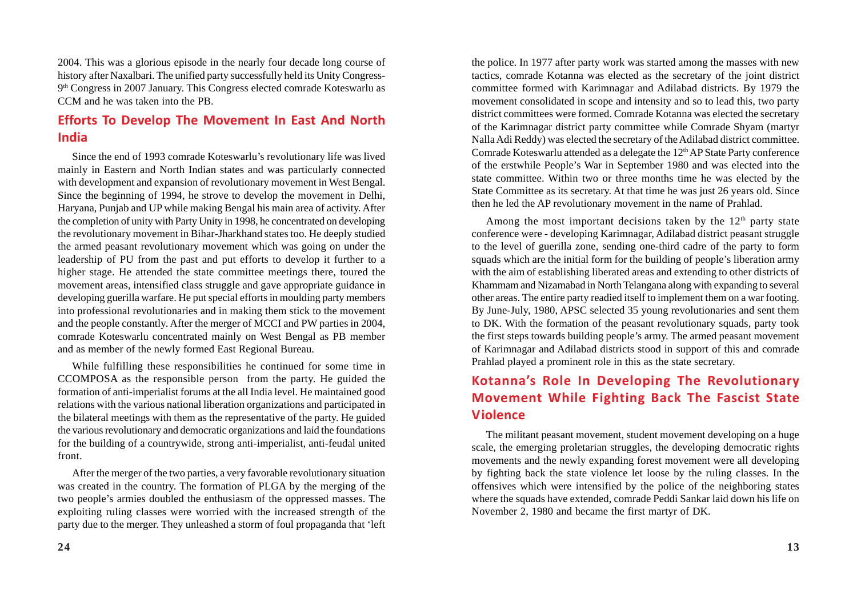2004. This was a glorious episode in the nearly four decade long course of history after Naxalbari. The unified party successfully held its Unity Congress-9th Congress in 2007 January. This Congress elected comrade Koteswarlu as CCM and he was taken into the PB.

## **Efforts To Develop The Movement In East And North India**

Since the end of 1993 comrade Koteswarlu's revolutionary life was lived mainly in Eastern and North Indian states and was particularly connected with development and expansion of revolutionary movement in West Bengal. Since the beginning of 1994, he strove to develop the movement in Delhi, Haryana, Punjab and UP while making Bengal his main area of activity. After the completion of unity with Party Unity in 1998, he concentrated on developing the revolutionary movement in Bihar-Jharkhand states too. He deeply studied the armed peasant revolutionary movement which was going on under the leadership of PU from the past and put efforts to develop it further to a higher stage. He attended the state committee meetings there, toured the movement areas, intensified class struggle and gave appropriate guidance in developing guerilla warfare. He put special efforts in moulding party members into professional revolutionaries and in making them stick to the movement and the people constantly. After the merger of MCCI and PW parties in 2004, comrade Koteswarlu concentrated mainly on West Bengal as PB member and as member of the newly formed East Regional Bureau.

While fulfilling these responsibilities he continued for some time in CCOMPOSA as the responsible person from the party. He guided the formation of anti-imperialist forums at the all India level. He maintained good relations with the various national liberation organizations and participated in the bilateral meetings with them as the representative of the party. He guided the various revolutionary and democratic organizations and laid the foundations for the building of a countrywide, strong anti-imperialist, anti-feudal united front.

After the merger of the two parties, a very favorable revolutionary situation was created in the country. The formation of PLGA by the merging of the two people's armies doubled the enthusiasm of the oppressed masses. The exploiting ruling classes were worried with the increased strength of the party due to the merger. They unleashed a storm of foul propaganda that 'left the police. In 1977 after party work was started among the masses with new tactics, comrade Kotanna was elected as the secretary of the joint district committee formed with Karimnagar and Adilabad districts. By 1979 the movement consolidated in scope and intensity and so to lead this, two party district committees were formed. Comrade Kotanna was elected the secretary of the Karimnagar district party committee while Comrade Shyam (martyr Nalla Adi Reddy) was elected the secretary of the Adilabad district committee. Comrade Koteswarlu attended as a delegate the 12<sup>th</sup> AP State Party conference of the erstwhile People's War in September 1980 and was elected into the state committee. Within two or three months time he was elected by the State Committee as its secretary. At that time he was just 26 years old. Since then he led the AP revolutionary movement in the name of Prahlad.

Among the most important decisions taken by the  $12<sup>th</sup>$  party state conference were - developing Karimnagar, Adilabad district peasant struggle to the level of guerilla zone, sending one-third cadre of the party to form squads which are the initial form for the building of people's liberation army with the aim of establishing liberated areas and extending to other districts of Khammam and Nizamabad in North Telangana along with expanding to several other areas. The entire party readied itself to implement them on a war footing. By June-July, 1980, APSC selected 35 young revolutionaries and sent them to DK. With the formation of the peasant revolutionary squads, party took the first steps towards building people's army. The armed peasant movement of Karimnagar and Adilabad districts stood in support of this and comrade Prahlad played a prominent role in this as the state secretary.

# **Kotanna's Role In Developing The Revolutionary Movement While Fighting Back The Fascist State Violence**

The militant peasant movement, student movement developing on a huge scale, the emerging proletarian struggles, the developing democratic rights movements and the newly expanding forest movement were all developing by fighting back the state violence let loose by the ruling classes. In the offensives which were intensified by the police of the neighboring states where the squads have extended, comrade Peddi Sankar laid down his life on November 2, 1980 and became the first martyr of DK.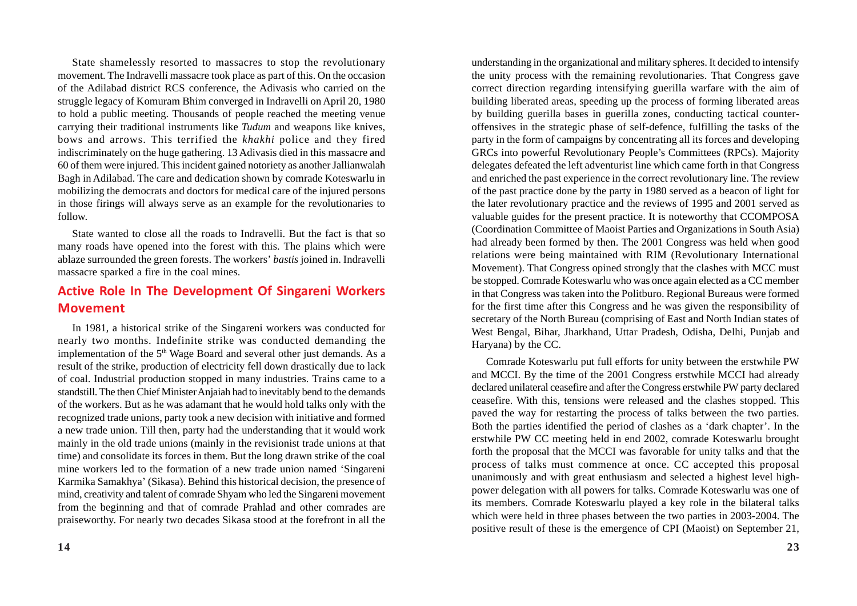State shamelessly resorted to massacres to stop the revolutionary movement. The Indravelli massacre took place as part of this. On the occasion of the Adilabad district RCS conference, the Adivasis who carried on the struggle legacy of Komuram Bhim converged in Indravelli on April 20, 1980 to hold a public meeting. Thousands of people reached the meeting venue carrying their traditional instruments like *Tudum* and weapons like knives, bows and arrows. This terrified the *khakhi* police and they fired indiscriminately on the huge gathering. 13 Adivasis died in this massacre and 60 of them were injured. This incident gained notoriety as another Jallianwalah Bagh in Adilabad. The care and dedication shown by comrade Koteswarlu in mobilizing the democrats and doctors for medical care of the injured persons in those firings will always serve as an example for the revolutionaries to follow.

State wanted to close all the roads to Indravelli. But the fact is that so many roads have opened into the forest with this. The plains which were ablaze surrounded the green forests. The workers' *bastis* joined in. Indravelli massacre sparked a fire in the coal mines.

### **Active Role In The Development Of Singareni Workers Movement**

In 1981, a historical strike of the Singareni workers was conducted for nearly two months. Indefinite strike was conducted demanding the implementation of the 5<sup>th</sup> Wage Board and several other just demands. As a result of the strike, production of electricity fell down drastically due to lack of coal. Industrial production stopped in many industries. Trains came to a standstill. The then Chief Minister Anjaiah had to inevitably bend to the demands of the workers. But as he was adamant that he would hold talks only with the recognized trade unions, party took a new decision with initiative and formed a new trade union. Till then, party had the understanding that it would work mainly in the old trade unions (mainly in the revisionist trade unions at that time) and consolidate its forces in them. But the long drawn strike of the coal mine workers led to the formation of a new trade union named 'Singareni Karmika Samakhya' (Sikasa). Behind this historical decision, the presence of mind, creativity and talent of comrade Shyam who led the Singareni movement from the beginning and that of comrade Prahlad and other comrades are praiseworthy. For nearly two decades Sikasa stood at the forefront in all the

understanding in the organizational and military spheres. It decided to intensify the unity process with the remaining revolutionaries. That Congress gave correct direction regarding intensifying guerilla warfare with the aim of building liberated areas, speeding up the process of forming liberated areas by building guerilla bases in guerilla zones, conducting tactical counteroffensives in the strategic phase of self-defence, fulfilling the tasks of the party in the form of campaigns by concentrating all its forces and developing GRCs into powerful Revolutionary People's Committees (RPCs). Majority delegates defeated the left adventurist line which came forth in that Congress and enriched the past experience in the correct revolutionary line. The review of the past practice done by the party in 1980 served as a beacon of light for the later revolutionary practice and the reviews of 1995 and 2001 served as valuable guides for the present practice. It is noteworthy that CCOMPOSA (Coordination Committee of Maoist Parties and Organizations in South Asia) had already been formed by then. The 2001 Congress was held when good relations were being maintained with RIM (Revolutionary International Movement). That Congress opined strongly that the clashes with MCC must be stopped. Comrade Koteswarlu who was once again elected as a CC member in that Congress was taken into the Politburo. Regional Bureaus were formed for the first time after this Congress and he was given the responsibility of secretary of the North Bureau (comprising of East and North Indian states of West Bengal, Bihar, Jharkhand, Uttar Pradesh, Odisha, Delhi, Punjab and Haryana) by the CC.

Comrade Koteswarlu put full efforts for unity between the erstwhile PW and MCCI. By the time of the 2001 Congress erstwhile MCCI had already declared unilateral ceasefire and after the Congress erstwhile PW party declared ceasefire. With this, tensions were released and the clashes stopped. This paved the way for restarting the process of talks between the two parties. Both the parties identified the period of clashes as a 'dark chapter'. In the erstwhile PW CC meeting held in end 2002, comrade Koteswarlu brought forth the proposal that the MCCI was favorable for unity talks and that the process of talks must commence at once. CC accepted this proposal unanimously and with great enthusiasm and selected a highest level highpower delegation with all powers for talks. Comrade Koteswarlu was one of its members. Comrade Koteswarlu played a key role in the bilateral talks which were held in three phases between the two parties in 2003-2004. The positive result of these is the emergence of CPI (Maoist) on September 21,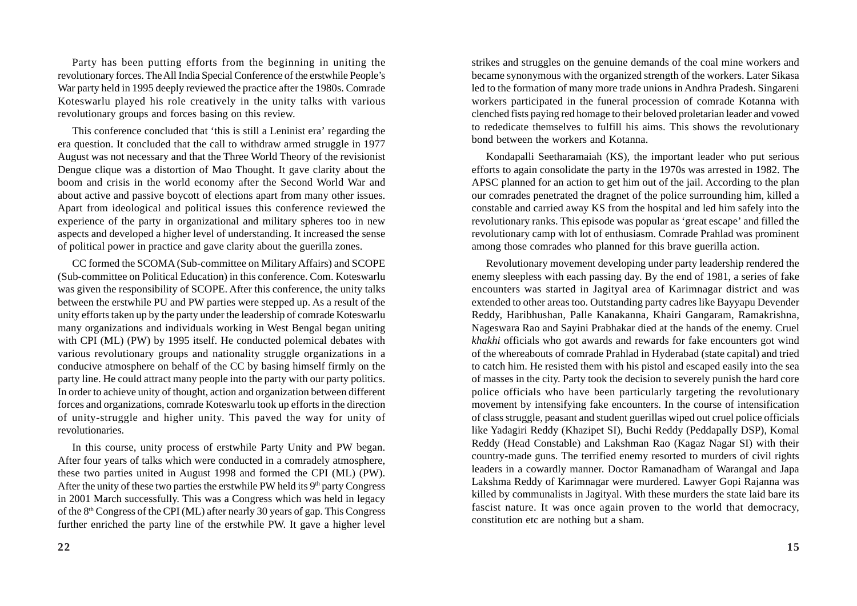Party has been putting efforts from the beginning in uniting the revolutionary forces. The All India Special Conference of the erstwhile People's War party held in 1995 deeply reviewed the practice after the 1980s. Comrade Koteswarlu played his role creatively in the unity talks with various revolutionary groups and forces basing on this review.

This conference concluded that 'this is still a Leninist era' regarding the era question. It concluded that the call to withdraw armed struggle in 1977 August was not necessary and that the Three World Theory of the revisionist Dengue clique was a distortion of Mao Thought. It gave clarity about the boom and crisis in the world economy after the Second World War and about active and passive boycott of elections apart from many other issues. Apart from ideological and political issues this conference reviewed the experience of the party in organizational and military spheres too in new aspects and developed a higher level of understanding. It increased the sense of political power in practice and gave clarity about the guerilla zones.

CC formed the SCOMA (Sub-committee on Military Affairs) and SCOPE (Sub-committee on Political Education) in this conference. Com. Koteswarlu was given the responsibility of SCOPE. After this conference, the unity talks between the erstwhile PU and PW parties were stepped up. As a result of the unity efforts taken up by the party under the leadership of comrade Koteswarlu many organizations and individuals working in West Bengal began uniting with CPI (ML) (PW) by 1995 itself. He conducted polemical debates with various revolutionary groups and nationality struggle organizations in a conducive atmosphere on behalf of the CC by basing himself firmly on the party line. He could attract many people into the party with our party politics. In order to achieve unity of thought, action and organization between different forces and organizations, comrade Koteswarlu took up efforts in the direction of unity-struggle and higher unity. This paved the way for unity of revolutionaries.

In this course, unity process of erstwhile Party Unity and PW began. After four years of talks which were conducted in a comradely atmosphere, these two parties united in August 1998 and formed the CPI (ML) (PW). After the unity of these two parties the erstwhile PW held its  $9<sup>th</sup>$  party Congress in 2001 March successfully. This was a Congress which was held in legacy of the 8th Congress of the CPI (ML) after nearly 30 years of gap. This Congress further enriched the party line of the erstwhile PW. It gave a higher level

strikes and struggles on the genuine demands of the coal mine workers and became synonymous with the organized strength of the workers. Later Sikasa led to the formation of many more trade unions in Andhra Pradesh. Singareni workers participated in the funeral procession of comrade Kotanna with clenched fists paying red homage to their beloved proletarian leader and vowed to rededicate themselves to fulfill his aims. This shows the revolutionary bond between the workers and Kotanna.

Kondapalli Seetharamaiah (KS), the important leader who put serious efforts to again consolidate the party in the 1970s was arrested in 1982. The APSC planned for an action to get him out of the jail. According to the plan our comrades penetrated the dragnet of the police surrounding him, killed a constable and carried away KS from the hospital and led him safely into the revolutionary ranks. This episode was popular as 'great escape' and filled the revolutionary camp with lot of enthusiasm. Comrade Prahlad was prominent among those comrades who planned for this brave guerilla action.

Revolutionary movement developing under party leadership rendered the enemy sleepless with each passing day. By the end of 1981, a series of fake encounters was started in Jagityal area of Karimnagar district and was extended to other areas too. Outstanding party cadres like Bayyapu Devender Reddy, Haribhushan, Palle Kanakanna, Khairi Gangaram, Ramakrishna, Nageswara Rao and Sayini Prabhakar died at the hands of the enemy. Cruel *khakhi* officials who got awards and rewards for fake encounters got wind of the whereabouts of comrade Prahlad in Hyderabad (state capital) and tried to catch him. He resisted them with his pistol and escaped easily into the sea of masses in the city. Party took the decision to severely punish the hard core police officials who have been particularly targeting the revolutionary movement by intensifying fake encounters. In the course of intensification of class struggle, peasant and student guerillas wiped out cruel police officials like Yadagiri Reddy (Khazipet SI), Buchi Reddy (Peddapally DSP), Komal Reddy (Head Constable) and Lakshman Rao (Kagaz Nagar SI) with their country-made guns. The terrified enemy resorted to murders of civil rights leaders in a cowardly manner. Doctor Ramanadham of Warangal and Japa Lakshma Reddy of Karimnagar were murdered. Lawyer Gopi Rajanna was killed by communalists in Jagityal. With these murders the state laid bare its fascist nature. It was once again proven to the world that democracy, constitution etc are nothing but a sham.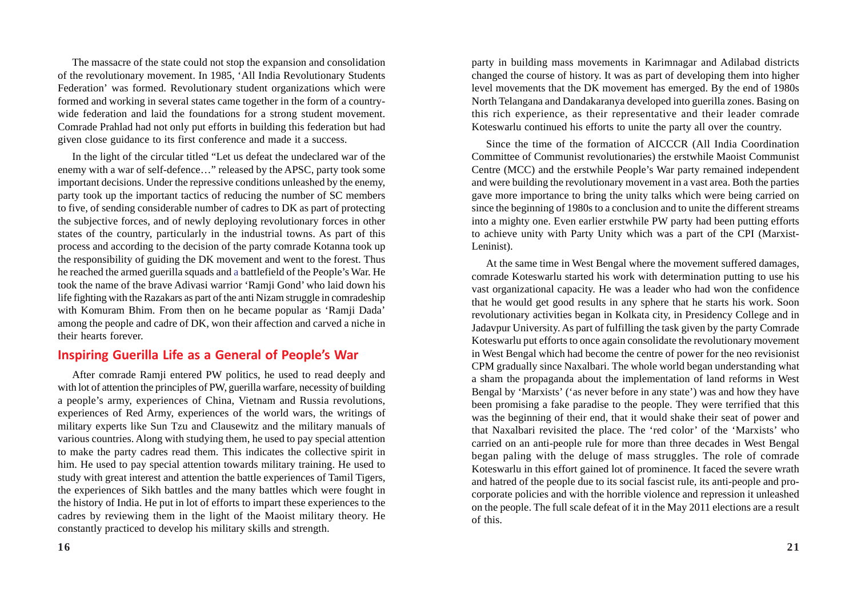The massacre of the state could not stop the expansion and consolidation of the revolutionary movement. In 1985, 'All India Revolutionary Students Federation' was formed. Revolutionary student organizations which were formed and working in several states came together in the form of a countrywide federation and laid the foundations for a strong student movement. Comrade Prahlad had not only put efforts in building this federation but had given close guidance to its first conference and made it a success.

In the light of the circular titled "Let us defeat the undeclared war of the enemy with a war of self-defence…" released by the APSC, party took some important decisions. Under the repressive conditions unleashed by the enemy, party took up the important tactics of reducing the number of SC members to five, of sending considerable number of cadres to DK as part of protecting the subjective forces, and of newly deploying revolutionary forces in other states of the country, particularly in the industrial towns. As part of this process and according to the decision of the party comrade Kotanna took up the responsibility of guiding the DK movement and went to the forest. Thus he reached the armed guerilla squads and a battlefield of the People's War. He took the name of the brave Adivasi warrior 'Ramji Gond' who laid down his life fighting with the Razakars as part of the anti Nizam struggle in comradeship with Komuram Bhim. From then on he became popular as 'Ramji Dada' among the people and cadre of DK, won their affection and carved a niche in their hearts forever.

#### **Inspiring Guerilla Life as a General of People's War**

After comrade Ramji entered PW politics, he used to read deeply and with lot of attention the principles of PW, guerilla warfare, necessity of building a people's army, experiences of China, Vietnam and Russia revolutions, experiences of Red Army, experiences of the world wars, the writings of military experts like Sun Tzu and Clausewitz and the military manuals of various countries. Along with studying them, he used to pay special attention to make the party cadres read them. This indicates the collective spirit in him. He used to pay special attention towards military training. He used to study with great interest and attention the battle experiences of Tamil Tigers, the experiences of Sikh battles and the many battles which were fought in the history of India. He put in lot of efforts to impart these experiences to the cadres by reviewing them in the light of the Maoist military theory. He constantly practiced to develop his military skills and strength.

party in building mass movements in Karimnagar and Adilabad districts changed the course of history. It was as part of developing them into higher level movements that the DK movement has emerged. By the end of 1980s North Telangana and Dandakaranya developed into guerilla zones. Basing on this rich experience, as their representative and their leader comrade Koteswarlu continued his efforts to unite the party all over the country.

Since the time of the formation of AICCCR (All India Coordination Committee of Communist revolutionaries) the erstwhile Maoist Communist Centre (MCC) and the erstwhile People's War party remained independent and were building the revolutionary movement in a vast area. Both the parties gave more importance to bring the unity talks which were being carried on since the beginning of 1980s to a conclusion and to unite the different streams into a mighty one. Even earlier erstwhile PW party had been putting efforts to achieve unity with Party Unity which was a part of the CPI (Marxist-Leninist).

At the same time in West Bengal where the movement suffered damages, comrade Koteswarlu started his work with determination putting to use his vast organizational capacity. He was a leader who had won the confidence that he would get good results in any sphere that he starts his work. Soon revolutionary activities began in Kolkata city, in Presidency College and in Jadavpur University. As part of fulfilling the task given by the party Comrade Koteswarlu put efforts to once again consolidate the revolutionary movement in West Bengal which had become the centre of power for the neo revisionist CPM gradually since Naxalbari. The whole world began understanding what a sham the propaganda about the implementation of land reforms in West Bengal by 'Marxists' ('as never before in any state') was and how they have been promising a fake paradise to the people. They were terrified that this was the beginning of their end, that it would shake their seat of power and that Naxalbari revisited the place. The 'red color' of the 'Marxists' who carried on an anti-people rule for more than three decades in West Bengal began paling with the deluge of mass struggles. The role of comrade Koteswarlu in this effort gained lot of prominence. It faced the severe wrath and hatred of the people due to its social fascist rule, its anti-people and procorporate policies and with the horrible violence and repression it unleashed on the people. The full scale defeat of it in the May 2011 elections are a result of this.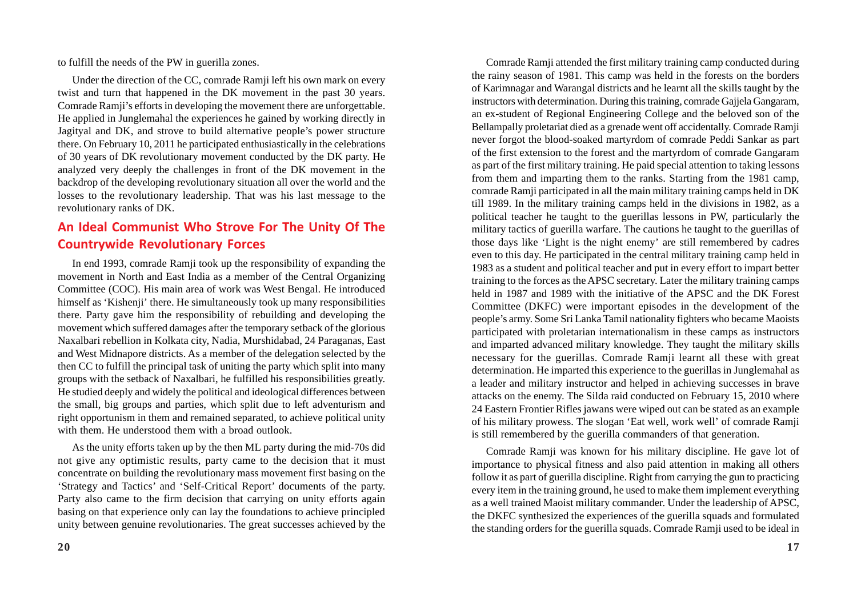to fulfill the needs of the PW in guerilla zones.

Under the direction of the CC, comrade Ramji left his own mark on every twist and turn that happened in the DK movement in the past 30 years. Comrade Ramji's efforts in developing the movement there are unforgettable. He applied in Junglemahal the experiences he gained by working directly in Jagityal and DK, and strove to build alternative people's power structure there. On February 10, 2011 he participated enthusiastically in the celebrations of 30 years of DK revolutionary movement conducted by the DK party. He analyzed very deeply the challenges in front of the DK movement in the backdrop of the developing revolutionary situation all over the world and the losses to the revolutionary leadership. That was his last message to the revolutionary ranks of DK.

## **An Ideal Communist Who Strove For The Unity Of The Countrywide Revolutionary Forces**

In end 1993, comrade Ramji took up the responsibility of expanding the movement in North and East India as a member of the Central Organizing Committee (COC). His main area of work was West Bengal. He introduced himself as 'Kishenji' there. He simultaneously took up many responsibilities there. Party gave him the responsibility of rebuilding and developing the movement which suffered damages after the temporary setback of the glorious Naxalbari rebellion in Kolkata city, Nadia, Murshidabad, 24 Paraganas, East and West Midnapore districts. As a member of the delegation selected by the then CC to fulfill the principal task of uniting the party which split into many groups with the setback of Naxalbari, he fulfilled his responsibilities greatly. He studied deeply and widely the political and ideological differences between the small, big groups and parties, which split due to left adventurism and right opportunism in them and remained separated, to achieve political unity with them. He understood them with a broad outlook.

As the unity efforts taken up by the then ML party during the mid-70s did not give any optimistic results, party came to the decision that it must concentrate on building the revolutionary mass movement first basing on the 'Strategy and Tactics' and 'Self-Critical Report' documents of the party. Party also came to the firm decision that carrying on unity efforts again basing on that experience only can lay the foundations to achieve principled unity between genuine revolutionaries. The great successes achieved by the

Comrade Ramji attended the first military training camp conducted during the rainy season of 1981. This camp was held in the forests on the borders of Karimnagar and Warangal districts and he learnt all the skills taught by the instructors with determination. During this training, comrade Gajjela Gangaram, an ex-student of Regional Engineering College and the beloved son of the Bellampally proletariat died as a grenade went off accidentally. Comrade Ramji never forgot the blood-soaked martyrdom of comrade Peddi Sankar as part of the first extension to the forest and the martyrdom of comrade Gangaram as part of the first military training. He paid special attention to taking lessons from them and imparting them to the ranks. Starting from the 1981 camp, comrade Ramji participated in all the main military training camps held in DK till 1989. In the military training camps held in the divisions in 1982, as a political teacher he taught to the guerillas lessons in PW, particularly the military tactics of guerilla warfare. The cautions he taught to the guerillas of those days like 'Light is the night enemy' are still remembered by cadres even to this day. He participated in the central military training camp held in 1983 as a student and political teacher and put in every effort to impart better training to the forces as the APSC secretary. Later the military training camps held in 1987 and 1989 with the initiative of the APSC and the DK Forest Committee (DKFC) were important episodes in the development of the people's army. Some Sri Lanka Tamil nationality fighters who became Maoists participated with proletarian internationalism in these camps as instructors and imparted advanced military knowledge. They taught the military skills necessary for the guerillas. Comrade Ramji learnt all these with great determination. He imparted this experience to the guerillas in Junglemahal as a leader and military instructor and helped in achieving successes in brave attacks on the enemy. The Silda raid conducted on February 15, 2010 where 24 Eastern Frontier Rifles jawans were wiped out can be stated as an example of his military prowess. The slogan 'Eat well, work well' of comrade Ramji is still remembered by the guerilla commanders of that generation.

Comrade Ramji was known for his military discipline. He gave lot of importance to physical fitness and also paid attention in making all others follow it as part of guerilla discipline. Right from carrying the gun to practicing every item in the training ground, he used to make them implement everything as a well trained Maoist military commander. Under the leadership of APSC, the DKFC synthesized the experiences of the guerilla squads and formulated the standing orders for the guerilla squads. Comrade Ramji used to be ideal in